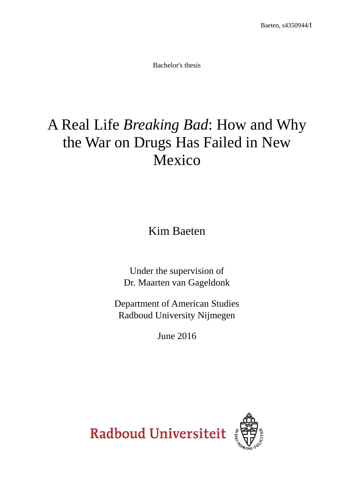Bachelor's thesis

# A Real Life *Breaking Bad*: How and Why the War on Drugs Has Failed in New Mexico

Kim Baeten

Under the supervision of Dr. Maarten van Gageldonk

Department of American Studies Radboud University Nijmegen

June 2016

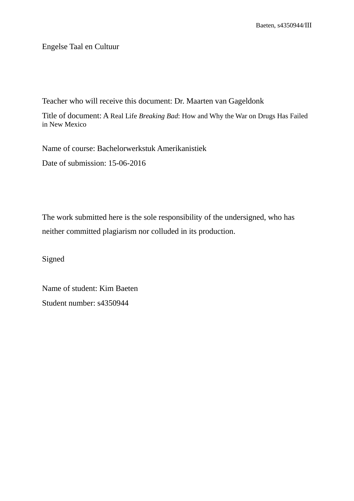Engelse Taal en Cultuur

Teacher who will receive this document: Dr. Maarten van Gageldonk

Title of document: A Real Life *Breaking Bad*: How and Why the War on Drugs Has Failed in New Mexico

Name of course: Bachelorwerkstuk Amerikanistiek

Date of submission: 15-06-2016

The work submitted here is the sole responsibility of the undersigned, who has neither committed plagiarism nor colluded in its production.

Signed

Name of student: Kim Baeten Student number: s4350944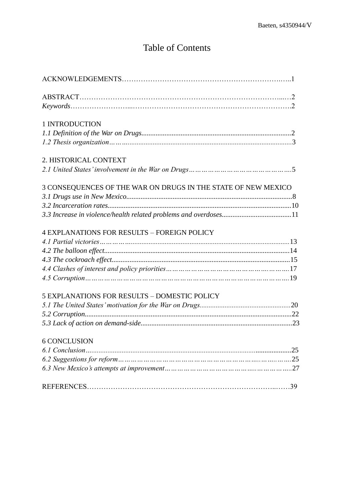# Table of Contents

| $Keywords \dots 2$                                            |  |
|---------------------------------------------------------------|--|
| 1 INTRODUCTION                                                |  |
|                                                               |  |
|                                                               |  |
| 2. HISTORICAL CONTEXT                                         |  |
|                                                               |  |
| 3 CONSEQUENCES OF THE WAR ON DRUGS IN THE STATE OF NEW MEXICO |  |
|                                                               |  |
|                                                               |  |
|                                                               |  |
| <b>4 EXPLANATIONS FOR RESULTS - FOREIGN POLICY</b>            |  |
|                                                               |  |
|                                                               |  |
|                                                               |  |
|                                                               |  |
|                                                               |  |
| <b>5 EXPLANATIONS FOR RESULTS - DOMESTIC POLICY</b>           |  |
|                                                               |  |
|                                                               |  |
|                                                               |  |
| 6 CONCLUSION                                                  |  |
|                                                               |  |
|                                                               |  |
|                                                               |  |
|                                                               |  |
|                                                               |  |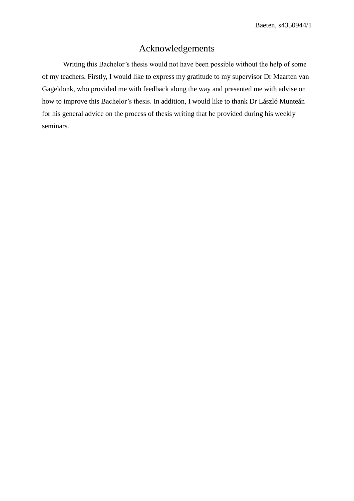# Acknowledgements

Writing this Bachelor's thesis would not have been possible without the help of some of my teachers. Firstly, I would like to express my gratitude to my supervisor Dr Maarten van Gageldonk, who provided me with feedback along the way and presented me with advise on how to improve this Bachelor's thesis. In addition, I would like to thank Dr László Munteán for his general advice on the process of thesis writing that he provided during his weekly seminars.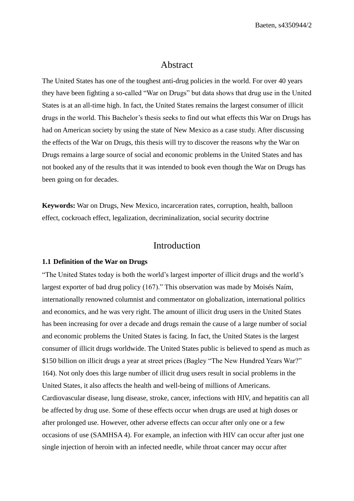# Abstract

The United States has one of the toughest anti-drug policies in the world. For over 40 years they have been fighting a so-called "War on Drugs" but data shows that drug use in the United States is at an all-time high. In fact, the United States remains the largest consumer of illicit drugs in the world. This Bachelor's thesis seeks to find out what effects this War on Drugs has had on American society by using the state of New Mexico as a case study. After discussing the effects of the War on Drugs, this thesis will try to discover the reasons why the War on Drugs remains a large source of social and economic problems in the United States and has not booked any of the results that it was intended to book even though the War on Drugs has been going on for decades.

**Keywords:** War on Drugs, New Mexico, incarceration rates, corruption, health, balloon effect, cockroach effect, legalization, decriminalization, social security doctrine

# Introduction

#### **1.1 Definition of the War on Drugs**

"The United States today is both the world's largest importer of illicit drugs and the world's largest exporter of bad drug policy (167)." This observation was made by Moisés Naím, internationally renowned columnist and commentator on globalization, international politics and economics, and he was very right. The amount of illicit drug users in the United States has been increasing for over a decade and drugs remain the cause of a large number of social and economic problems the United States is facing. In fact, the United States is the largest consumer of illicit drugs worldwide. The United States public is believed to spend as much as \$150 billion on illicit drugs a year at street prices (Bagley "The New Hundred Years War?" 164). Not only does this large number of illicit drug users result in social problems in the United States, it also affects the health and well-being of millions of Americans. Cardiovascular disease, lung disease, stroke, cancer, infections with HIV, and hepatitis can all be affected by drug use. Some of these effects occur when drugs are used at high doses or after prolonged use. However, other adverse effects can occur after only one or a few occasions of use (SAMHSA 4). For example, an infection with HIV can occur after just one single injection of heroin with an infected needle, while throat cancer may occur after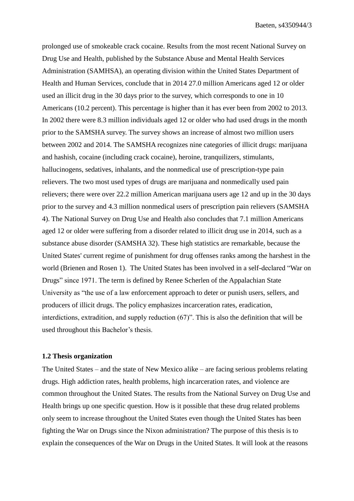Baeten, s4350944/3

prolonged use of smokeable crack cocaine. Results from the most recent National Survey on Drug Use and Health, published by the Substance Abuse and Mental Health Services Administration (SAMHSA), an operating division within the United States Department of Health and Human Services, conclude that in 2014 27.0 million Americans aged 12 or older used an illicit drug in the 30 days prior to the survey, which corresponds to one in 10 Americans (10.2 percent). This percentage is higher than it has ever been from 2002 to 2013. In 2002 there were 8.3 million individuals aged 12 or older who had used drugs in the month prior to the SAMSHA survey. The survey shows an increase of almost two million users between 2002 and 2014. The SAMSHA recognizes nine categories of illicit drugs: marijuana and hashish, cocaine (including crack cocaine), heroine, tranquilizers, stimulants, hallucinogens, sedatives, inhalants, and the nonmedical use of prescription-type pain relievers. The two most used types of drugs are marijuana and nonmedically used pain relievers; there were over 22.2 million American marijuana users age 12 and up in the 30 days prior to the survey and 4.3 million nonmedical users of prescription pain relievers (SAMSHA 4). The National Survey on Drug Use and Health also concludes that 7.1 million Americans aged 12 or older were suffering from a disorder related to illicit drug use in 2014, such as a substance abuse disorder (SAMSHA 32). These high statistics are remarkable, because the United States' current regime of punishment for drug offenses ranks among the harshest in the world (Brienen and Rosen 1). The United States has been involved in a self-declared "War on Drugs" since 1971. The term is defined by Renee Scherlen of the Appalachian State University as "the use of a law enforcement approach to deter or punish users, sellers, and producers of illicit drugs. The policy emphasizes incarceration rates, eradication, interdictions, extradition, and supply reduction (67)". This is also the definition that will be used throughout this Bachelor's thesis.

#### **1.2 Thesis organization**

The United States – and the state of New Mexico alike – are facing serious problems relating drugs. High addiction rates, health problems, high incarceration rates, and violence are common throughout the United States. The results from the National Survey on Drug Use and Health brings up one specific question. How is it possible that these drug related problems only seem to increase throughout the United States even though the United States has been fighting the War on Drugs since the Nixon administration? The purpose of this thesis is to explain the consequences of the War on Drugs in the United States. It will look at the reasons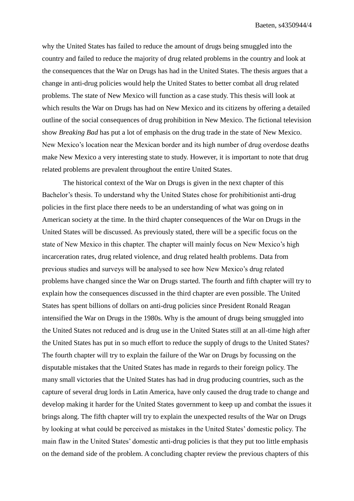why the United States has failed to reduce the amount of drugs being smuggled into the country and failed to reduce the majority of drug related problems in the country and look at the consequences that the War on Drugs has had in the United States. The thesis argues that a change in anti-drug policies would help the United States to better combat all drug related problems. The state of New Mexico will function as a case study. This thesis will look at which results the War on Drugs has had on New Mexico and its citizens by offering a detailed outline of the social consequences of drug prohibition in New Mexico. The fictional television show *Breaking Bad* has put a lot of emphasis on the drug trade in the state of New Mexico. New Mexico's location near the Mexican border and its high number of drug overdose deaths make New Mexico a very interesting state to study. However, it is important to note that drug related problems are prevalent throughout the entire United States.

The historical context of the War on Drugs is given in the next chapter of this Bachelor's thesis. To understand why the United States chose for prohibitionist anti-drug policies in the first place there needs to be an understanding of what was going on in American society at the time. In the third chapter consequences of the War on Drugs in the United States will be discussed. As previously stated, there will be a specific focus on the state of New Mexico in this chapter. The chapter will mainly focus on New Mexico's high incarceration rates, drug related violence, and drug related health problems. Data from previous studies and surveys will be analysed to see how New Mexico's drug related problems have changed since the War on Drugs started. The fourth and fifth chapter will try to explain how the consequences discussed in the third chapter are even possible. The United States has spent billions of dollars on anti-drug policies since President Ronald Reagan intensified the War on Drugs in the 1980s. Why is the amount of drugs being smuggled into the United States not reduced and is drug use in the United States still at an all-time high after the United States has put in so much effort to reduce the supply of drugs to the United States? The fourth chapter will try to explain the failure of the War on Drugs by focussing on the disputable mistakes that the United States has made in regards to their foreign policy. The many small victories that the United States has had in drug producing countries, such as the capture of several drug lords in Latin America, have only caused the drug trade to change and develop making it harder for the United States government to keep up and combat the issues it brings along. The fifth chapter will try to explain the unexpected results of the War on Drugs by looking at what could be perceived as mistakes in the United States' domestic policy. The main flaw in the United States' domestic anti-drug policies is that they put too little emphasis on the demand side of the problem. A concluding chapter review the previous chapters of this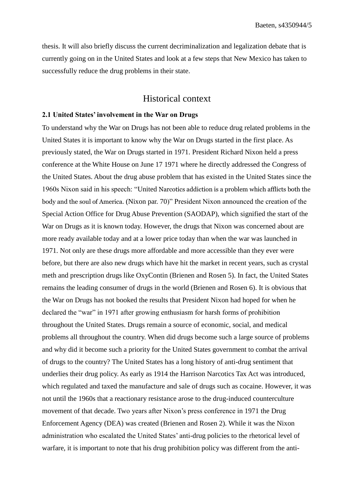thesis. It will also briefly discuss the current decriminalization and legalization debate that is currently going on in the United States and look at a few steps that New Mexico has taken to successfully reduce the drug problems in their state.

# Historical context

#### **2.1 United States' involvement in the War on Drugs**

To understand why the War on Drugs has not been able to reduce drug related problems in the United States it is important to know why the War on Drugs started in the first place. As previously stated, the War on Drugs started in 1971. President Richard Nixon held a press conference at the White House on June 17 1971 where he directly addressed the Congress of the United States. About the drug abuse problem that has existed in the United States since the 1960s Nixon said in his speech: "United Narcotics addiction is a problem which afflicts both the body and the soul of America. (Nixon par. 70)" President Nixon announced the creation of the Special Action Office for Drug Abuse Prevention (SAODAP), which signified the start of the War on Drugs as it is known today. However, the drugs that Nixon was concerned about are more ready available today and at a lower price today than when the war was launched in 1971. Not only are these drugs more affordable and more accessible than they ever were before, but there are also new drugs which have hit the market in recent years, such as crystal meth and prescription drugs like OxyContin (Brienen and Rosen 5). In fact, the United States remains the leading consumer of drugs in the world (Brienen and Rosen 6). It is obvious that the War on Drugs has not booked the results that President Nixon had hoped for when he declared the "war" in 1971 after growing enthusiasm for harsh forms of prohibition throughout the United States. Drugs remain a source of economic, social, and medical problems all throughout the country. When did drugs become such a large source of problems and why did it become such a priority for the United States government to combat the arrival of drugs to the country? The United States has a long history of anti-drug sentiment that underlies their drug policy. As early as 1914 the Harrison Narcotics Tax Act was introduced, which regulated and taxed the manufacture and sale of drugs such as cocaine. However, it was not until the 1960s that a reactionary resistance arose to the drug-induced counterculture movement of that decade. Two years after Nixon's press conference in 1971 the Drug Enforcement Agency (DEA) was created (Brienen and Rosen 2). While it was the Nixon administration who escalated the United States' anti-drug policies to the rhetorical level of warfare, it is important to note that his drug prohibition policy was different from the anti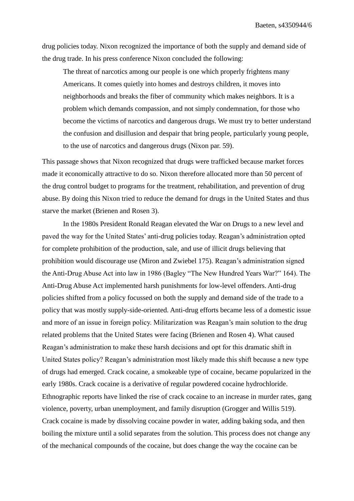drug policies today. Nixon recognized the importance of both the supply and demand side of the drug trade. In his press conference Nixon concluded the following:

The threat of narcotics among our people is one which properly frightens many Americans. It comes quietly into homes and destroys children, it moves into neighborhoods and breaks the fiber of community which makes neighbors. It is a problem which demands compassion, and not simply condemnation, for those who become the victims of narcotics and dangerous drugs. We must try to better understand the confusion and disillusion and despair that bring people, particularly young people, to the use of narcotics and dangerous drugs (Nixon par. 59).

This passage shows that Nixon recognized that drugs were trafficked because market forces made it economically attractive to do so. Nixon therefore allocated more than 50 percent of the drug control budget to programs for the treatment, rehabilitation, and prevention of drug abuse. By doing this Nixon tried to reduce the demand for drugs in the United States and thus starve the market (Brienen and Rosen 3).

In the 1980s President Ronald Reagan elevated the War on Drugs to a new level and paved the way for the United States' anti-drug policies today. Reagan's administration opted for complete prohibition of the production, sale, and use of illicit drugs believing that prohibition would discourage use (Miron and Zwiebel 175). Reagan's administration signed the Anti-Drug Abuse Act into law in 1986 (Bagley "The New Hundred Years War?" 164). The Anti-Drug Abuse Act implemented harsh punishments for low-level offenders. Anti-drug policies shifted from a policy focussed on both the supply and demand side of the trade to a policy that was mostly supply-side-oriented. Anti-drug efforts became less of a domestic issue and more of an issue in foreign policy. Militarization was Reagan's main solution to the drug related problems that the United States were facing (Brienen and Rosen 4). What caused Reagan's administration to make these harsh decisions and opt for this dramatic shift in United States policy? Reagan's administration most likely made this shift because a new type of drugs had emerged. Crack cocaine, a smokeable type of cocaine, became popularized in the early 1980s. Crack cocaine is a derivative of regular powdered cocaine hydrochloride. Ethnographic reports have linked the rise of crack cocaine to an increase in murder rates, gang violence, poverty, urban unemployment, and family disruption (Grogger and Willis 519). Crack cocaine is made by dissolving cocaine powder in water, adding baking soda, and then boiling the mixture until a solid separates from the solution. This process does not change any of the mechanical compounds of the cocaine, but does change the way the cocaine can be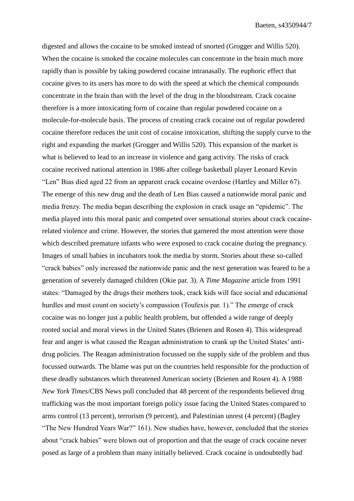digested and allows the cocaine to be smoked instead of snorted (Grogger and Willis 520). When the cocaine is smoked the cocaine molecules can concentrate in the brain much more rapidly than is possible by taking powdered cocaine intranasally. The euphoric effect that cocaine gives to its users has more to do with the speed at which the chemical compounds concentrate in the brain than with the level of the drug in the bloodstream. Crack cocaine therefore is a more intoxicating form of cocaine than regular powdered cocaine on a molecule-for-molecule basis. The process of creating crack cocaine out of regular powdered cocaine therefore reduces the unit cost of cocaine intoxication, shifting the supply curve to the right and expanding the market (Grogger and Willis 520). This expansion of the market is what is believed to lead to an increase in violence and gang activity. The risks of crack cocaine received national attention in 1986 after college basketball player Leonard Kevin "Len" Bias died aged 22 from an apparent crack cocaine overdose (Hartley and Miller 67). The emerge of this new drug and the death of Len Bias caused a nationwide moral panic and media frenzy. The media began describing the explosion in crack usage an "epidemic". The media played into this moral panic and competed over sensational stories about crack cocainerelated violence and crime. However, the stories that garnered the most attention were those which described premature infants who were exposed to crack cocaine during the pregnancy. Images of small babies in incubators took the media by storm. Stories about these so-called "crack babies" only increased the nationwide panic and the next generation was feared to be a generation of severely damaged children (Okie par. 3). A *Time Magazine* article from 1991 states: "Damaged by the drugs their mothers took, crack kids will face social and educational hurdles and must count on society's compassion (Toufexis par. 1)." The emerge of crack cocaine was no longer just a public health problem, but offended a wide range of deeply rooted social and moral views in the United States (Brienen and Rosen 4). This widespread fear and anger is what caused the Reagan administration to crank up the United States' antidrug policies. The Reagan administration focussed on the supply side of the problem and thus focussed outwards. The blame was put on the countries held responsible for the production of these deadly substances which threatened American society (Brienen and Rosen 4). A 1988 *New York Times*/CBS News poll concluded that 48 percent of the respondents believed drug trafficking was the most important foreign policy issue facing the United States compared to arms control (13 percent), terrorism (9 percent), and Palestinian unrest (4 percent) (Bagley "The New Hundred Years War?" 161). New studies have, however, concluded that the stories about "crack babies" were blown out of proportion and that the usage of crack cocaine never posed as large of a problem than many initially believed. Crack cocaine is undoubtedly bad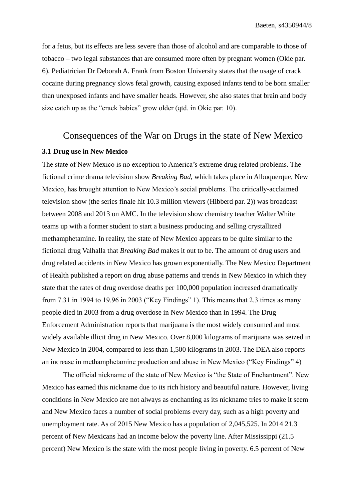for a fetus, but its effects are less severe than those of alcohol and are comparable to those of tobacco – two legal substances that are consumed more often by pregnant women (Okie par. 6). Pediatrician Dr Deborah A. Frank from Boston University states that the usage of crack cocaine during pregnancy slows fetal growth, causing exposed infants tend to be born smaller than unexposed infants and have smaller heads. However, she also states that brain and body size catch up as the "crack babies" grow older (qtd. in Okie par. 10).

# Consequences of the War on Drugs in the state of New Mexico

#### **3.1 Drug use in New Mexico**

The state of New Mexico is no exception to America's extreme drug related problems. The fictional crime drama television show *Breaking Bad,* which takes place in Albuquerque, New Mexico, has brought attention to New Mexico's social problems. The critically-acclaimed television show (the series finale hit 10.3 million viewers (Hibberd par. 2)) was broadcast between 2008 and 2013 on AMC. In the television show chemistry teacher Walter White teams up with a former student to start a business producing and selling crystallized methamphetamine. In reality, the state of New Mexico appears to be quite similar to the fictional drug Valhalla that *Breaking Bad* makes it out to be. The amount of drug users and drug related accidents in New Mexico has grown exponentially. The New Mexico Department of Health published a report on drug abuse patterns and trends in New Mexico in which they state that the rates of drug overdose deaths per 100,000 population increased dramatically from 7.31 in 1994 to 19.96 in 2003 ("Key Findings" 1). This means that 2.3 times as many people died in 2003 from a drug overdose in New Mexico than in 1994. The Drug Enforcement Administration reports that marijuana is the most widely consumed and most widely available illicit drug in New Mexico. Over 8,000 kilograms of marijuana was seized in New Mexico in 2004, compared to less than 1,500 kilograms in 2003. The DEA also reports an increase in methamphetamine production and abuse in New Mexico ("Key Findings" 4)

The official nickname of the state of New Mexico is "the State of Enchantment". New Mexico has earned this nickname due to its rich history and beautiful nature. However, living conditions in New Mexico are not always as enchanting as its nickname tries to make it seem and New Mexico faces a number of social problems every day, such as a high poverty and unemployment rate. As of 2015 New Mexico has a population of 2,045,525. In 2014 21.3 percent of New Mexicans had an income below the poverty line. After Mississippi (21.5 percent) New Mexico is the state with the most people living in poverty. 6.5 percent of New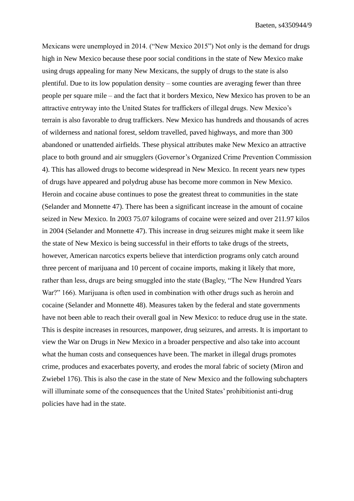Mexicans were unemployed in 2014. ("New Mexico 2015") Not only is the demand for drugs high in New Mexico because these poor social conditions in the state of New Mexico make using drugs appealing for many New Mexicans, the supply of drugs to the state is also plentiful. Due to its low population density – some counties are averaging fewer than three people per square mile – and the fact that it borders Mexico, New Mexico has proven to be an attractive entryway into the United States for traffickers of illegal drugs. New Mexico's terrain is also favorable to drug traffickers. New Mexico has hundreds and thousands of acres of wilderness and national forest, seldom travelled, paved highways, and more than 300 abandoned or unattended airfields. These physical attributes make New Mexico an attractive place to both ground and air smugglers (Governor's Organized Crime Prevention Commission 4). This has allowed drugs to become widespread in New Mexico. In recent years new types of drugs have appeared and polydrug abuse has become more common in New Mexico. Heroin and cocaine abuse continues to pose the greatest threat to communities in the state (Selander and Monnette 47). There has been a significant increase in the amount of cocaine seized in New Mexico. In 2003 75.07 kilograms of cocaine were seized and over 211.97 kilos in 2004 (Selander and Monnette 47). This increase in drug seizures might make it seem like the state of New Mexico is being successful in their efforts to take drugs of the streets, however, American narcotics experts believe that interdiction programs only catch around three percent of marijuana and 10 percent of cocaine imports, making it likely that more, rather than less, drugs are being smuggled into the state (Bagley, "The New Hundred Years War?" 166). Marijuana is often used in combination with other drugs such as heroin and cocaine (Selander and Monnette 48). Measures taken by the federal and state governments have not been able to reach their overall goal in New Mexico: to reduce drug use in the state. This is despite increases in resources, manpower, drug seizures, and arrests. It is important to view the War on Drugs in New Mexico in a broader perspective and also take into account what the human costs and consequences have been. The market in illegal drugs promotes crime, produces and exacerbates poverty, and erodes the moral fabric of society (Miron and Zwiebel 176). This is also the case in the state of New Mexico and the following subchapters will illuminate some of the consequences that the United States' prohibitionist anti-drug policies have had in the state.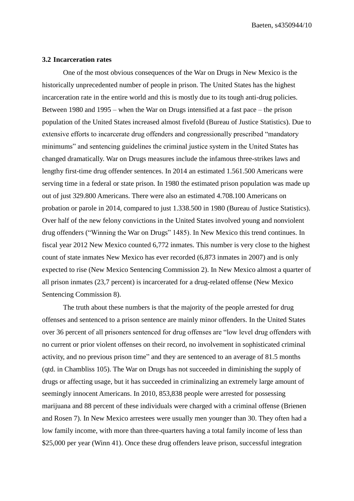Baeten, s4350944/10

#### **3.2 Incarceration rates**

One of the most obvious consequences of the War on Drugs in New Mexico is the historically unprecedented number of people in prison. The United States has the highest incarceration rate in the entire world and this is mostly due to its tough anti-drug policies. Between 1980 and 1995 – when the War on Drugs intensified at a fast pace – the prison population of the United States increased almost fivefold (Bureau of Justice Statistics). Due to extensive efforts to incarcerate drug offenders and congressionally prescribed "mandatory minimums" and sentencing guidelines the criminal justice system in the United States has changed dramatically. War on Drugs measures include the infamous three-strikes laws and lengthy first-time drug offender sentences. In 2014 an estimated 1.561.500 Americans were serving time in a federal or state prison. In 1980 the estimated prison population was made up out of just 329.800 Americans. There were also an estimated 4.708.100 Americans on probation or parole in 2014, compared to just 1.338.500 in 1980 (Bureau of Justice Statistics). Over half of the new felony convictions in the United States involved young and nonviolent drug offenders ("Winning the War on Drugs" 1485). In New Mexico this trend continues. In fiscal year 2012 New Mexico counted 6,772 inmates. This number is very close to the highest count of state inmates New Mexico has ever recorded (6,873 inmates in 2007) and is only expected to rise (New Mexico Sentencing Commission 2). In New Mexico almost a quarter of all prison inmates (23,7 percent) is incarcerated for a drug-related offense (New Mexico Sentencing Commission 8).

The truth about these numbers is that the majority of the people arrested for drug offenses and sentenced to a prison sentence are mainly minor offenders. In the United States over 36 percent of all prisoners sentenced for drug offenses are "low level drug offenders with no current or prior violent offenses on their record, no involvement in sophisticated criminal activity, and no previous prison time" and they are sentenced to an average of 81.5 months (qtd. in Chambliss 105). The War on Drugs has not succeeded in diminishing the supply of drugs or affecting usage, but it has succeeded in criminalizing an extremely large amount of seemingly innocent Americans. In 2010, 853,838 people were arrested for possessing marijuana and 88 percent of these individuals were charged with a criminal offense (Brienen and Rosen 7). In New Mexico arrestees were usually men younger than 30. They often had a low family income, with more than three-quarters having a total family income of less than \$25,000 per year (Winn 41). Once these drug offenders leave prison, successful integration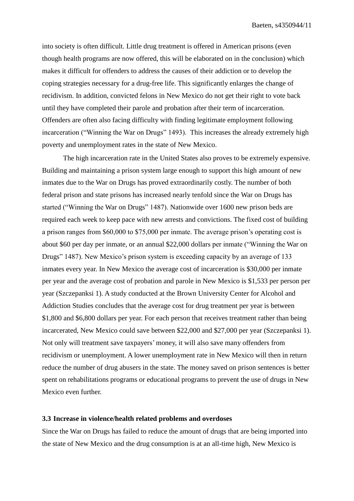into society is often difficult. Little drug treatment is offered in American prisons (even though health programs are now offered, this will be elaborated on in the conclusion) which makes it difficult for offenders to address the causes of their addiction or to develop the coping strategies necessary for a drug-free life. This significantly enlarges the change of recidivism. In addition, convicted felons in New Mexico do not get their right to vote back until they have completed their parole and probation after their term of incarceration. Offenders are often also facing difficulty with finding legitimate employment following incarceration ("Winning the War on Drugs" 1493). This increases the already extremely high poverty and unemployment rates in the state of New Mexico.

The high incarceration rate in the United States also proves to be extremely expensive. Building and maintaining a prison system large enough to support this high amount of new inmates due to the War on Drugs has proved extraordinarily costly. The number of both federal prison and state prisons has increased nearly tenfold since the War on Drugs has started ("Winning the War on Drugs" 1487). Nationwide over 1600 new prison beds are required each week to keep pace with new arrests and convictions. The fixed cost of building a prison ranges from \$60,000 to \$75,000 per inmate. The average prison's operating cost is about \$60 per day per inmate, or an annual \$22,000 dollars per inmate ("Winning the War on Drugs" 1487). New Mexico's prison system is exceeding capacity by an average of 133 inmates every year. In New Mexico the average cost of incarceration is \$30,000 per inmate per year and the average cost of probation and parole in New Mexico is \$1,533 per person per year (Szczepanksi 1). A study conducted at the Brown University Center for Alcohol and Addiction Studies concludes that the average cost for drug treatment per year is between \$1,800 and \$6,800 dollars per year. For each person that receives treatment rather than being incarcerated, New Mexico could save between \$22,000 and \$27,000 per year (Szczepanksi 1). Not only will treatment save taxpayers' money, it will also save many offenders from recidivism or unemployment. A lower unemployment rate in New Mexico will then in return reduce the number of drug abusers in the state. The money saved on prison sentences is better spent on rehabilitations programs or educational programs to prevent the use of drugs in New Mexico even further.

#### **3.3 Increase in violence/health related problems and overdoses**

Since the War on Drugs has failed to reduce the amount of drugs that are being imported into the state of New Mexico and the drug consumption is at an all-time high, New Mexico is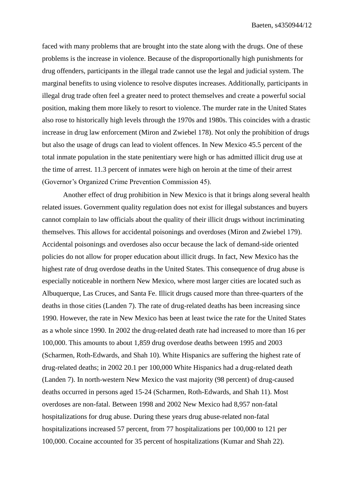faced with many problems that are brought into the state along with the drugs. One of these problems is the increase in violence. Because of the disproportionally high punishments for drug offenders, participants in the illegal trade cannot use the legal and judicial system. The marginal benefits to using violence to resolve disputes increases. Additionally, participants in illegal drug trade often feel a greater need to protect themselves and create a powerful social position, making them more likely to resort to violence. The murder rate in the United States also rose to historically high levels through the 1970s and 1980s. This coincides with a drastic increase in drug law enforcement (Miron and Zwiebel 178). Not only the prohibition of drugs but also the usage of drugs can lead to violent offences. In New Mexico 45.5 percent of the total inmate population in the state penitentiary were high or has admitted illicit drug use at the time of arrest. 11.3 percent of inmates were high on heroin at the time of their arrest (Governor's Organized Crime Prevention Commission 45).

Another effect of drug prohibition in New Mexico is that it brings along several health related issues. Government quality regulation does not exist for illegal substances and buyers cannot complain to law officials about the quality of their illicit drugs without incriminating themselves. This allows for accidental poisonings and overdoses (Miron and Zwiebel 179). Accidental poisonings and overdoses also occur because the lack of demand-side oriented policies do not allow for proper education about illicit drugs. In fact, New Mexico has the highest rate of drug overdose deaths in the United States. This consequence of drug abuse is especially noticeable in northern New Mexico, where most larger cities are located such as Albuquerque, Las Cruces, and Santa Fe. Illicit drugs caused more than three-quarters of the deaths in those cities (Landen 7). The rate of drug-related deaths has been increasing since 1990. However, the rate in New Mexico has been at least twice the rate for the United States as a whole since 1990. In 2002 the drug-related death rate had increased to more than 16 per 100,000. This amounts to about 1,859 drug overdose deaths between 1995 and 2003 (Scharmen, Roth-Edwards, and Shah 10). White Hispanics are suffering the highest rate of drug-related deaths; in 2002 20.1 per 100,000 White Hispanics had a drug-related death (Landen 7). In north-western New Mexico the vast majority (98 percent) of drug-caused deaths occurred in persons aged 15-24 (Scharmen, Roth-Edwards, and Shah 11). Most overdoses are non-fatal. Between 1998 and 2002 New Mexico had 8,957 non-fatal hospitalizations for drug abuse. During these years drug abuse-related non-fatal hospitalizations increased 57 percent, from 77 hospitalizations per 100,000 to 121 per 100,000. Cocaine accounted for 35 percent of hospitalizations (Kumar and Shah 22).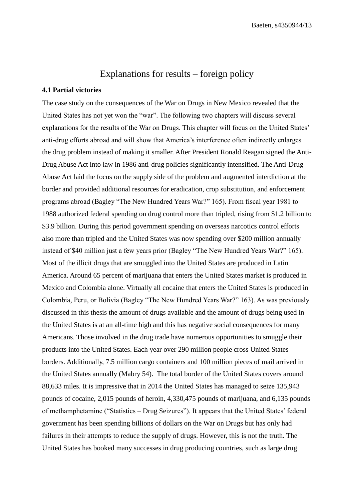# Explanations for results – foreign policy

#### **4.1 Partial victories**

The case study on the consequences of the War on Drugs in New Mexico revealed that the United States has not yet won the "war". The following two chapters will discuss several explanations for the results of the War on Drugs. This chapter will focus on the United States' anti-drug efforts abroad and will show that America's interference often indirectly enlarges the drug problem instead of making it smaller. After President Ronald Reagan signed the Anti-Drug Abuse Act into law in 1986 anti-drug policies significantly intensified. The Anti-Drug Abuse Act laid the focus on the supply side of the problem and augmented interdiction at the border and provided additional resources for eradication, crop substitution, and enforcement programs abroad (Bagley "The New Hundred Years War?" 165). From fiscal year 1981 to 1988 authorized federal spending on drug control more than tripled, rising from \$1.2 billion to \$3.9 billion. During this period government spending on overseas narcotics control efforts also more than tripled and the United States was now spending over \$200 million annually instead of \$40 million just a few years prior (Bagley "The New Hundred Years War?" 165). Most of the illicit drugs that are smuggled into the United States are produced in Latin America. Around 65 percent of marijuana that enters the United States market is produced in Mexico and Colombia alone. Virtually all cocaine that enters the United States is produced in Colombia, Peru, or Bolivia (Bagley "The New Hundred Years War?" 163). As was previously discussed in this thesis the amount of drugs available and the amount of drugs being used in the United States is at an all-time high and this has negative social consequences for many Americans. Those involved in the drug trade have numerous opportunities to smuggle their products into the United States. Each year over 290 million people cross United States borders. Additionally, 7.5 million cargo containers and 100 million pieces of mail arrived in the United States annually (Mabry 54). The total border of the United States covers around 88,633 miles. It is impressive that in 2014 the United States has managed to seize 135,943 pounds of cocaine, 2,015 pounds of heroin, 4,330,475 pounds of marijuana, and 6,135 pounds of methamphetamine ("Statistics – Drug Seizures"). It appears that the United States' federal government has been spending billions of dollars on the War on Drugs but has only had failures in their attempts to reduce the supply of drugs. However, this is not the truth. The United States has booked many successes in drug producing countries, such as large drug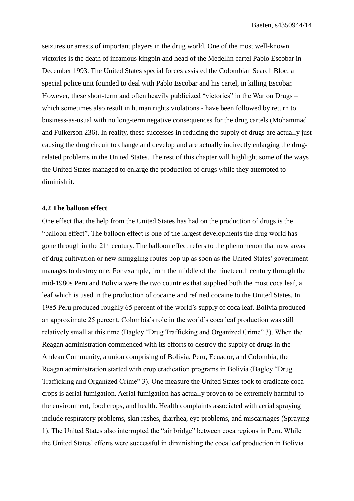seizures or arrests of important players in the drug world. One of the most well-known victories is the death of infamous kingpin and head of the Medellín cartel Pablo Escobar in December 1993. The United States special forces assisted the Colombian Search Bloc, a special police unit founded to deal with Pablo Escobar and his cartel, in killing Escobar. However, these short-term and often heavily publicized "victories" in the War on Drugs – which sometimes also result in human rights violations - have been followed by return to business-as-usual with no long-term negative consequences for the drug cartels (Mohammad and Fulkerson 236). In reality, these successes in reducing the supply of drugs are actually just causing the drug circuit to change and develop and are actually indirectly enlarging the drugrelated problems in the United States. The rest of this chapter will highlight some of the ways the United States managed to enlarge the production of drugs while they attempted to diminish it.

#### **4.2 The balloon effect**

One effect that the help from the United States has had on the production of drugs is the "balloon effect". The balloon effect is one of the largest developments the drug world has gone through in the 21<sup>st</sup> century. The balloon effect refers to the phenomenon that new areas of drug cultivation or new smuggling routes pop up as soon as the United States' government manages to destroy one. For example, from the middle of the nineteenth century through the mid-1980s Peru and Bolivia were the two countries that supplied both the most coca leaf, a leaf which is used in the production of cocaine and refined cocaine to the United States. In 1985 Peru produced roughly 65 percent of the world's supply of coca leaf. Bolivia produced an approximate 25 percent. Colombia's role in the world's coca leaf production was still relatively small at this time (Bagley "Drug Trafficking and Organized Crime" 3). When the Reagan administration commenced with its efforts to destroy the supply of drugs in the Andean Community, a union comprising of Bolivia, Peru, Ecuador, and Colombia, the Reagan administration started with crop eradication programs in Bolivia (Bagley "Drug Trafficking and Organized Crime" 3). One measure the United States took to eradicate coca crops is aerial fumigation. Aerial fumigation has actually proven to be extremely harmful to the environment, food crops, and health. Health complaints associated with aerial spraying include respiratory problems, skin rashes, diarrhea, eye problems, and miscarriages (Spraying 1). The United States also interrupted the "air bridge" between coca regions in Peru. While the United States' efforts were successful in diminishing the coca leaf production in Bolivia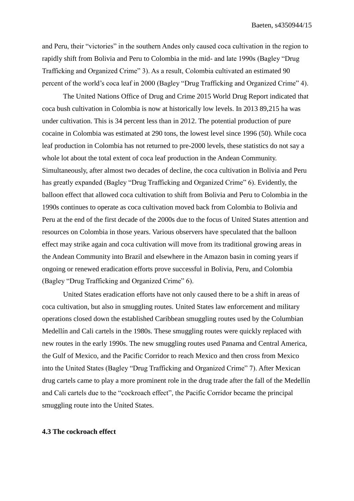and Peru, their "victories" in the southern Andes only caused coca cultivation in the region to rapidly shift from Bolivia and Peru to Colombia in the mid- and late 1990s (Bagley "Drug Trafficking and Organized Crime" 3). As a result, Colombia cultivated an estimated 90 percent of the world's coca leaf in 2000 (Bagley "Drug Trafficking and Organized Crime" 4).

The United Nations Office of Drug and Crime 2015 World Drug Report indicated that coca bush cultivation in Colombia is now at historically low levels. In 2013 89,215 ha was under cultivation. This is 34 percent less than in 2012. The potential production of pure cocaine in Colombia was estimated at 290 tons, the lowest level since 1996 (50). While coca leaf production in Colombia has not returned to pre-2000 levels, these statistics do not say a whole lot about the total extent of coca leaf production in the Andean Community. Simultaneously, after almost two decades of decline, the coca cultivation in Bolivia and Peru has greatly expanded (Bagley "Drug Trafficking and Organized Crime" 6). Evidently, the balloon effect that allowed coca cultivation to shift from Bolivia and Peru to Colombia in the 1990s continues to operate as coca cultivation moved back from Colombia to Bolivia and Peru at the end of the first decade of the 2000s due to the focus of United States attention and resources on Colombia in those years. Various observers have speculated that the balloon effect may strike again and coca cultivation will move from its traditional growing areas in the Andean Community into Brazil and elsewhere in the Amazon basin in coming years if ongoing or renewed eradication efforts prove successful in Bolivia, Peru, and Colombia (Bagley "Drug Trafficking and Organized Crime" 6).

United States eradication efforts have not only caused there to be a shift in areas of coca cultivation, but also in smuggling routes. United States law enforcement and military operations closed down the established Caribbean smuggling routes used by the Columbian Medellín and Cali cartels in the 1980s. These smuggling routes were quickly replaced with new routes in the early 1990s. The new smuggling routes used Panama and Central America, the Gulf of Mexico, and the Pacific Corridor to reach Mexico and then cross from Mexico into the United States (Bagley "Drug Trafficking and Organized Crime" 7). After Mexican drug cartels came to play a more prominent role in the drug trade after the fall of the Medellín and Cali cartels due to the "cockroach effect", the Pacific Corridor became the principal smuggling route into the United States.

### **4.3 The cockroach effect**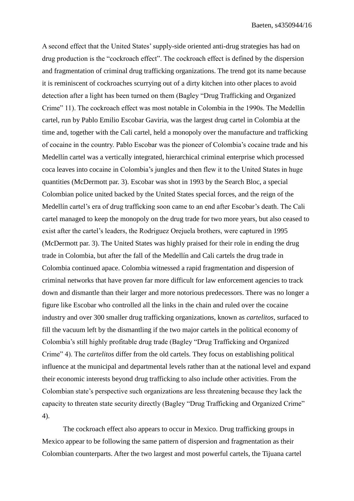A second effect that the United States' supply-side oriented anti-drug strategies has had on drug production is the "cockroach effect". The cockroach effect is defined by the dispersion and fragmentation of criminal drug trafficking organizations. The trend got its name because it is reminiscent of cockroaches scurrying out of a dirty kitchen into other places to avoid detection after a light has been turned on them (Bagley "Drug Trafficking and Organized Crime" 11). The cockroach effect was most notable in Colombia in the 1990s. The Medellín cartel, run by Pablo Emilio Escobar Gaviria, was the largest drug cartel in Colombia at the time and, together with the Cali cartel, held a monopoly over the manufacture and trafficking of cocaine in the country. Pablo Escobar was the pioneer of Colombia's cocaine trade and his Medellín cartel was a vertically integrated, hierarchical criminal enterprise which processed coca leaves into cocaine in Colombia's jungles and then flew it to the United States in huge quantities (McDermott par. 3). Escobar was shot in 1993 by the Search Bloc, a special Colombian police united backed by the United States special forces, and the reign of the Medellín cartel's era of drug trafficking soon came to an end after Escobar's death. The Cali cartel managed to keep the monopoly on the drug trade for two more years, but also ceased to exist after the cartel's leaders, the Rodriguez Orejuela brothers, were captured in 1995 (McDermott par. 3). The United States was highly praised for their role in ending the drug trade in Colombia, but after the fall of the Medellín and Cali cartels the drug trade in Colombia continued apace. Colombia witnessed a rapid fragmentation and dispersion of criminal networks that have proven far more difficult for law enforcement agencies to track down and dismantle than their larger and more notorious predecessors. There was no longer a figure like Escobar who controlled all the links in the chain and ruled over the cocaine industry and over 300 smaller drug trafficking organizations, known as *cartelitos*, surfaced to fill the vacuum left by the dismantling if the two major cartels in the political economy of Colombia's still highly profitable drug trade (Bagley "Drug Trafficking and Organized Crime" 4). The *cartelitos* differ from the old cartels. They focus on establishing political influence at the municipal and departmental levels rather than at the national level and expand their economic interests beyond drug trafficking to also include other activities. From the Colombian state's perspective such organizations are less threatening because they lack the capacity to threaten state security directly (Bagley "Drug Trafficking and Organized Crime" 4).

The cockroach effect also appears to occur in Mexico. Drug trafficking groups in Mexico appear to be following the same pattern of dispersion and fragmentation as their Colombian counterparts. After the two largest and most powerful cartels, the Tijuana cartel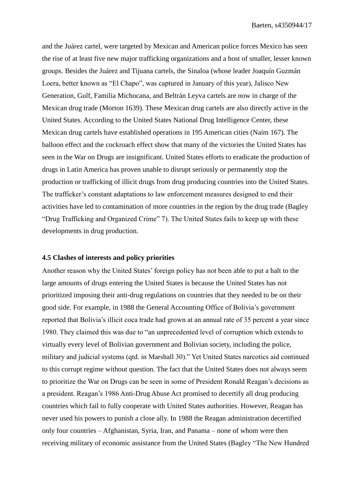and the Juárez cartel, were targeted by Mexican and American police forces Mexico has seen the rise of at least five new major trafficking organizations and a host of smaller, lesser known groups. Besides the Juárez and Tijuana cartels, the Sinaloa (whose leader Joaquín Guzmán Loera, better known as "El Chapo", was captured in January of this year), Jalisco New Generation, Gulf, Familia Michocana, and Beltrán Leyva cartels are now in charge of the Mexican drug trade (Morton 1639). These Mexican drug cartels are also directly active in the United States. According to the United States National Drug Intelligence Center, these Mexican drug cartels have established operations in 195 American cities (Naím 167). The balloon effect and the cockroach effect show that many of the victories the United States has seen in the War on Drugs are insignificant. United States efforts to eradicate the production of drugs in Latin America has proven unable to disrupt seriously or permanently stop the production or trafficking of illicit drugs from drug producing countries into the United States. The trafficker's constant adaptations to law enforcement measures designed to end their activities have led to contamination of more countries in the region by the drug trade (Bagley "Drug Trafficking and Organized Crime" 7). The United States fails to keep up with these developments in drug production.

#### **4.5 Clashes of interests and policy priorities**

Another reason why the United States' foreign policy has not been able to put a halt to the large amounts of drugs entering the United States is because the United States has not prioritized imposing their anti-drug regulations on countries that they needed to be on their good side. For example, in 1988 the General Accounting Office of Bolivia's government reported that Bolivia's illicit coca trade had grown at an annual rate of 35 percent a year since 1980. They claimed this was due to "an unprecedented level of corruption which extends to virtually every level of Bolivian government and Bolivian society, including the police, military and judicial systems (qtd. in Marshall 30)." Yet United States narcotics aid continued to this corrupt regime without question. The fact that the United States does not always seem to prioritize the War on Drugs can be seen in some of President Ronald Reagan's decisions as a president. Reagan's 1986 Anti-Drug Abuse Act promised to decertify all drug producing countries which fail to fully cooperate with United States authorities. However, Reagan has never used his powers to punish a close ally. In 1988 the Reagan administration decertified only four countries – Afghanistan, Syria, Iran, and Panama – none of whom were then receiving military of economic assistance from the United States (Bagley "The New Hundred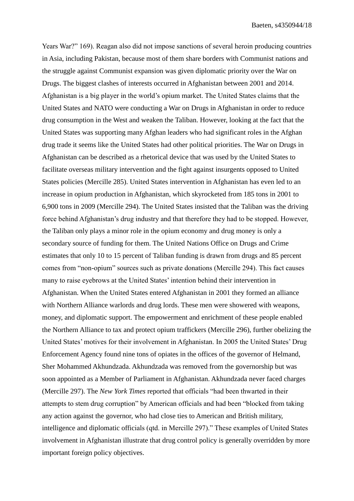Years War?" 169). Reagan also did not impose sanctions of several heroin producing countries in Asia, including Pakistan, because most of them share borders with Communist nations and the struggle against Communist expansion was given diplomatic priority over the War on Drugs. The biggest clashes of interests occurred in Afghanistan between 2001 and 2014. Afghanistan is a big player in the world's opium market. The United States claims that the United States and NATO were conducting a War on Drugs in Afghanistan in order to reduce drug consumption in the West and weaken the Taliban. However, looking at the fact that the United States was supporting many Afghan leaders who had significant roles in the Afghan drug trade it seems like the United States had other political priorities. The War on Drugs in Afghanistan can be described as a rhetorical device that was used by the United States to facilitate overseas military intervention and the fight against insurgents opposed to United States policies (Mercille 285). United States intervention in Afghanistan has even led to an increase in opium production in Afghanistan, which skyrocketed from 185 tons in 2001 to 6,900 tons in 2009 (Mercille 294). The United States insisted that the Taliban was the driving force behind Afghanistan's drug industry and that therefore they had to be stopped. However, the Taliban only plays a minor role in the opium economy and drug money is only a secondary source of funding for them. The United Nations Office on Drugs and Crime estimates that only 10 to 15 percent of Taliban funding is drawn from drugs and 85 percent comes from "non-opium" sources such as private donations (Mercille 294). This fact causes many to raise eyebrows at the United States' intention behind their intervention in Afghanistan. When the United States entered Afghanistan in 2001 they formed an alliance with Northern Alliance warlords and drug lords. These men were showered with weapons, money, and diplomatic support. The empowerment and enrichment of these people enabled the Northern Alliance to tax and protect opium traffickers (Mercille 296), further obelizing the United States' motives for their involvement in Afghanistan. In 2005 the United States' Drug Enforcement Agency found nine tons of opiates in the offices of the governor of Helmand, Sher Mohammed Akhundzada. Akhundzada was removed from the governorship but was soon appointed as a Member of Parliament in Afghanistan. Akhundzada never faced charges (Mercille 297). The *New York Times* reported that officials "had been thwarted in their attempts to stem drug corruption" by American officials and had been "blocked from taking any action against the governor, who had close ties to American and British military, intelligence and diplomatic officials (qtd. in Mercille 297)." These examples of United States involvement in Afghanistan illustrate that drug control policy is generally overridden by more important foreign policy objectives.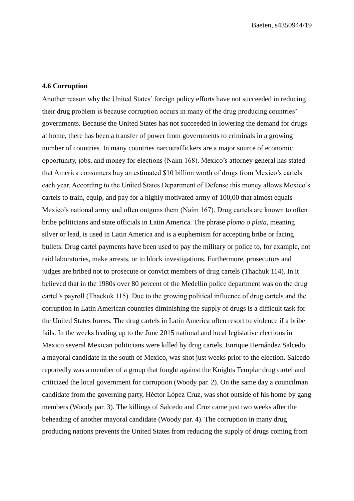#### **4.6 Corruption**

Another reason why the United States' foreign policy efforts have not succeeded in reducing their drug problem is because corruption occurs in many of the drug producing countries' governments. Because the United States has not succeeded in lowering the demand for drugs at home, there has been a transfer of power from governments to criminals in a growing number of countries. In many countries narcotraffickers are a major source of economic opportunity, jobs, and money for elections (Naím 168). Mexico's attorney general has stated that America consumers buy an estimated \$10 billion worth of drugs from Mexico's cartels each year. According to the United States Department of Defense this money allows Mexico's cartels to train, equip, and pay for a highly motivated army of 100,00 that almost equals Mexico's national army and often outguns them (Naím 167). Drug cartels are known to often bribe politicians and state officials in Latin America. The phrase *plomo o plata,* meaning silver or lead, is used in Latin America and is a euphemism for accepting bribe or facing bullets. Drug cartel payments have been used to pay the military or police to, for example, not raid laboratories, make arrests, or to block investigations. Furthermore, prosecutors and judges are bribed not to prosecute or convict members of drug cartels (Thachuk 114). In it believed that in the 1980s over 80 percent of the Medellín police department was on the drug cartel's payroll (Thackuk 115). Due to the growing political influence of drug cartels and the corruption in Latin American countries diminishing the supply of drugs is a difficult task for the United States forces. The drug cartels in Latin America often resort to violence if a bribe fails. In the weeks leading up to the June 2015 national and local legislative elections in Mexico several Mexican politicians were killed by drug cartels. Enrique Hernández Salcedo, a mayoral candidate in the south of Mexico, was shot just weeks prior to the election. Salcedo reportedly was a member of a group that fought against the Knights Templar drug cartel and criticized the local government for corruption (Woody par. 2). On the same day a councilman candidate from the governing party, Héctor López Cruz, was shot outside of his home by gang members (Woody par. 3). The killings of Salcedo and Cruz came just two weeks after the beheading of another mayoral candidate (Woody par. 4). The corruption in many drug producing nations prevents the United States from reducing the supply of drugs coming from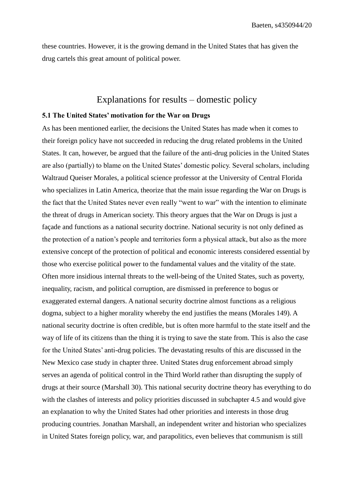these countries. However, it is the growing demand in the United States that has given the drug cartels this great amount of political power.

# Explanations for results – domestic policy

#### **5.1 The United States' motivation for the War on Drugs**

As has been mentioned earlier, the decisions the United States has made when it comes to their foreign policy have not succeeded in reducing the drug related problems in the United States. It can, however, be argued that the failure of the anti-drug policies in the United States are also (partially) to blame on the United States' domestic policy. Several scholars, including Waltraud Queiser Morales, a political science professor at the University of Central Florida who specializes in Latin America, theorize that the main issue regarding the War on Drugs is the fact that the United States never even really "went to war" with the intention to eliminate the threat of drugs in American society. This theory argues that the War on Drugs is just a façade and functions as a national security doctrine. National security is not only defined as the protection of a nation's people and territories form a physical attack, but also as the more extensive concept of the protection of political and economic interests considered essential by those who exercise political power to the fundamental values and the vitality of the state. Often more insidious internal threats to the well-being of the United States, such as poverty, inequality, racism, and political corruption, are dismissed in preference to bogus or exaggerated external dangers. A national security doctrine almost functions as a religious dogma, subject to a higher morality whereby the end justifies the means (Morales 149). A national security doctrine is often credible, but is often more harmful to the state itself and the way of life of its citizens than the thing it is trying to save the state from. This is also the case for the United States' anti-drug policies. The devastating results of this are discussed in the New Mexico case study in chapter three. United States drug enforcement abroad simply serves an agenda of political control in the Third World rather than disrupting the supply of drugs at their source (Marshall 30). This national security doctrine theory has everything to do with the clashes of interests and policy priorities discussed in subchapter 4.5 and would give an explanation to why the United States had other priorities and interests in those drug producing countries. Jonathan Marshall, an independent writer and historian who specializes in United States foreign policy, war, and parapolitics, even believes that communism is still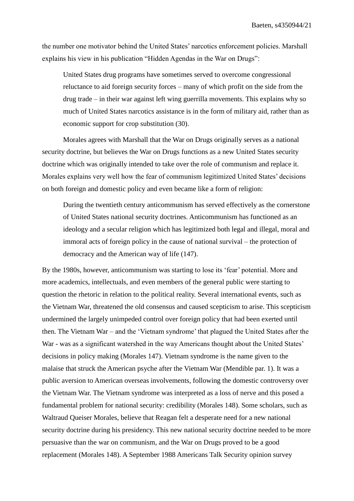the number one motivator behind the United States' narcotics enforcement policies. Marshall explains his view in his publication "Hidden Agendas in the War on Drugs":

United States drug programs have sometimes served to overcome congressional reluctance to aid foreign security forces – many of which profit on the side from the drug trade – in their war against left wing guerrilla movements. This explains why so much of United States narcotics assistance is in the form of military aid, rather than as economic support for crop substitution (30).

Morales agrees with Marshall that the War on Drugs originally serves as a national security doctrine, but believes the War on Drugs functions as a new United States security doctrine which was originally intended to take over the role of communism and replace it. Morales explains very well how the fear of communism legitimized United States' decisions on both foreign and domestic policy and even became like a form of religion:

During the twentieth century anticommunism has served effectively as the cornerstone of United States national security doctrines. Anticommunism has functioned as an ideology and a secular religion which has legitimized both legal and illegal, moral and immoral acts of foreign policy in the cause of national survival – the protection of democracy and the American way of life (147).

By the 1980s, however, anticommunism was starting to lose its 'fear' potential. More and more academics, intellectuals, and even members of the general public were starting to question the rhetoric in relation to the political reality. Several international events, such as the Vietnam War, threatened the old consensus and caused scepticism to arise. This scepticism undermined the largely unimpeded control over foreign policy that had been exerted until then. The Vietnam War – and the 'Vietnam syndrome' that plagued the United States after the War - was as a significant watershed in the way Americans thought about the United States' decisions in policy making (Morales 147). Vietnam syndrome is the name given to the malaise that struck the American psyche after the Vietnam War (Mendible par. 1). It was a public aversion to American overseas involvements, following the domestic controversy over the Vietnam War. The Vietnam syndrome was interpreted as a loss of nerve and this posed a fundamental problem for national security: credibility (Morales 148). Some scholars, such as Waltraud Queiser Morales, believe that Reagan felt a desperate need for a new national security doctrine during his presidency. This new national security doctrine needed to be more persuasive than the war on communism, and the War on Drugs proved to be a good replacement (Morales 148). A September 1988 Americans Talk Security opinion survey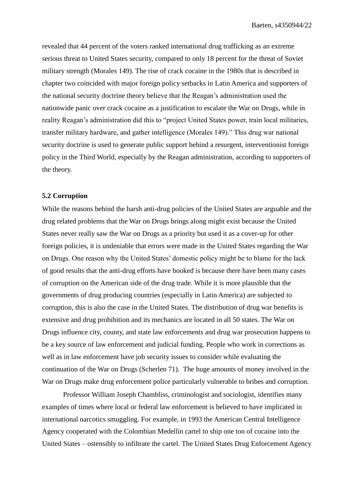revealed that 44 percent of the voters ranked international drug trafficking as an extreme serious threat to United States security, compared to only 18 percent for the threat of Soviet military strength (Morales 149). The rise of crack cocaine in the 1980s that is described in chapter two coincided with major foreign policy setbacks in Latin America and supporters of the national security doctrine theory believe that the Reagan's administration used the nationwide panic over crack cocaine as a justification to escalate the War on Drugs, while in reality Reagan's administration did this to "project United States power, train local militaries, transfer military hardware, and gather intelligence (Morales 149)." This drug war national security doctrine is used to generate public support behind a resurgent, interventionist foreign policy in the Third World, especially by the Reagan administration, according to supporters of the theory.

#### **5.2 Corruption**

While the reasons behind the harsh anti-drug policies of the United States are arguable and the drug related problems that the War on Drugs brings along might exist because the United States never really saw the War on Drugs as a priority but used it as a cover-up for other foreign policies, it is undeniable that errors were made in the United States regarding the War on Drugs. One reason why the United States' domestic policy might be to blame for the lack of good results that the anti-drug efforts have booked is because there have been many cases of corruption on the American side of the drug trade. While it is more plausible that the governments of drug producing countries (especially in Latin America) are subjected to corruption, this is also the case in the United States. The distribution of drug war benefits is extensive and drug prohibition and its mechanics are located in all 50 states. The War on Drugs influence city, county, and state law enforcements and drug war prosecution happens to be a key source of law enforcement and judicial funding. People who work in corrections as well as in law enforcement have job security issues to consider while evaluating the continuation of the War on Drugs (Scherlen 71). The huge amounts of money involved in the War on Drugs make drug enforcement police particularly vulnerable to bribes and corruption.

Professor William Joseph Chambliss, criminologist and sociologist, identifies many examples of times where local or federal law enforcement is believed to have implicated in international narcotics smuggling. For example, in 1993 the American Central Intelligence Agency cooperated with the Colombian Medellín cartel to ship one ton of cocaine into the United States – ostensibly to infiltrate the cartel. The United States Drug Enforcement Agency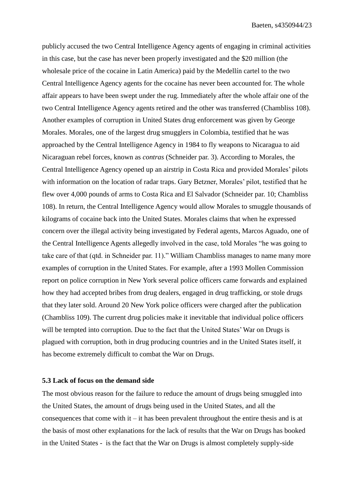publicly accused the two Central Intelligence Agency agents of engaging in criminal activities in this case, but the case has never been properly investigated and the \$20 million (the wholesale price of the cocaine in Latin America) paid by the Medellín cartel to the two Central Intelligence Agency agents for the cocaine has never been accounted for. The whole affair appears to have been swept under the rug. Immediately after the whole affair one of the two Central Intelligence Agency agents retired and the other was transferred (Chambliss 108). Another examples of corruption in United States drug enforcement was given by George Morales. Morales, one of the largest drug smugglers in Colombia, testified that he was approached by the Central Intelligence Agency in 1984 to fly weapons to Nicaragua to aid Nicaraguan rebel forces, known as *contras* (Schneider par. 3). According to Morales, the Central Intelligence Agency opened up an airstrip in Costa Rica and provided Morales' pilots with information on the location of radar traps. Gary Betzner, Morales' pilot, testified that he flew over 4,000 pounds of arms to Costa Rica and El Salvador (Schneider par. 10; Chambliss 108). In return, the Central Intelligence Agency would allow Morales to smuggle thousands of kilograms of cocaine back into the United States. Morales claims that when he expressed concern over the illegal activity being investigated by Federal agents, Marcos Aguado, one of the Central Intelligence Agents allegedly involved in the case, told Morales "he was going to take care of that (qtd. in Schneider par. 11)." William Chambliss manages to name many more examples of corruption in the United States. For example, after a 1993 Mollen Commission report on police corruption in New York several police officers came forwards and explained how they had accepted bribes from drug dealers, engaged in drug trafficking, or stole drugs that they later sold. Around 20 New York police officers were charged after the publication (Chambliss 109). The current drug policies make it inevitable that individual police officers will be tempted into corruption. Due to the fact that the United States' War on Drugs is plagued with corruption, both in drug producing countries and in the United States itself, it has become extremely difficult to combat the War on Drugs.

#### **5.3 Lack of focus on the demand side**

The most obvious reason for the failure to reduce the amount of drugs being smuggled into the United States, the amount of drugs being used in the United States, and all the consequences that come with it – it has been prevalent throughout the entire thesis and is at the basis of most other explanations for the lack of results that the War on Drugs has booked in the United States - is the fact that the War on Drugs is almost completely supply-side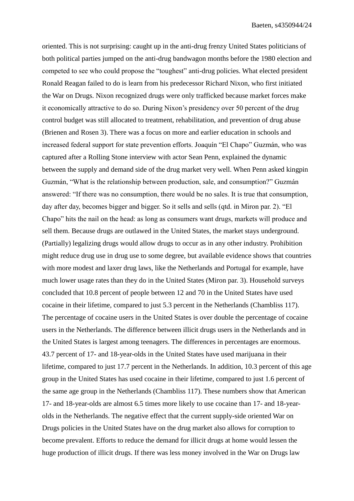oriented. This is not surprising: caught up in the anti-drug frenzy United States politicians of both political parties jumped on the anti-drug bandwagon months before the 1980 election and competed to see who could propose the "toughest" anti-drug policies. What elected president Ronald Reagan failed to do is learn from his predecessor Richard Nixon, who first initiated the War on Drugs. Nixon recognized drugs were only trafficked because market forces make it economically attractive to do so. During Nixon's presidency over 50 percent of the drug control budget was still allocated to treatment, rehabilitation, and prevention of drug abuse (Brienen and Rosen 3). There was a focus on more and earlier education in schools and increased federal support for state prevention efforts. Joaquín "El Chapo" Guzmán, who was captured after a Rolling Stone interview with actor Sean Penn, explained the dynamic between the supply and demand side of the drug market very well. When Penn asked kingpin Guzmán, "What is the relationship between production, sale, and consumption?" Guzmán answered: "If there was no consumption, there would be no sales. It is true that consumption, day after day, becomes bigger and bigger. So it sells and sells (qtd. in Miron par. 2). "El Chapo" hits the nail on the head: as long as consumers want drugs, markets will produce and sell them. Because drugs are outlawed in the United States, the market stays underground. (Partially) legalizing drugs would allow drugs to occur as in any other industry. Prohibition might reduce drug use in drug use to some degree, but available evidence shows that countries with more modest and laxer drug laws, like the Netherlands and Portugal for example, have much lower usage rates than they do in the United States (Miron par. 3). Household surveys concluded that 10.8 percent of people between 12 and 70 in the United States have used cocaine in their lifetime, compared to just 5.3 percent in the Netherlands (Chambliss 117). The percentage of cocaine users in the United States is over double the percentage of cocaine users in the Netherlands. The difference between illicit drugs users in the Netherlands and in the United States is largest among teenagers. The differences in percentages are enormous. 43.7 percent of 17- and 18-year-olds in the United States have used marijuana in their lifetime, compared to just 17.7 percent in the Netherlands. In addition, 10.3 percent of this age group in the United States has used cocaine in their lifetime, compared to just 1.6 percent of the same age group in the Netherlands (Chambliss 117). These numbers show that American 17- and 18-year-olds are almost 6.5 times more likely to use cocaine than 17- and 18-yearolds in the Netherlands. The negative effect that the current supply-side oriented War on Drugs policies in the United States have on the drug market also allows for corruption to become prevalent. Efforts to reduce the demand for illicit drugs at home would lessen the huge production of illicit drugs. If there was less money involved in the War on Drugs law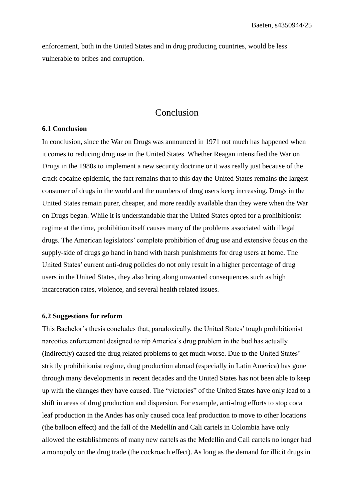enforcement, both in the United States and in drug producing countries, would be less vulnerable to bribes and corruption.

# Conclusion

#### **6.1 Conclusion**

In conclusion, since the War on Drugs was announced in 1971 not much has happened when it comes to reducing drug use in the United States. Whether Reagan intensified the War on Drugs in the 1980s to implement a new security doctrine or it was really just because of the crack cocaine epidemic, the fact remains that to this day the United States remains the largest consumer of drugs in the world and the numbers of drug users keep increasing. Drugs in the United States remain purer, cheaper, and more readily available than they were when the War on Drugs began. While it is understandable that the United States opted for a prohibitionist regime at the time, prohibition itself causes many of the problems associated with illegal drugs. The American legislators' complete prohibition of drug use and extensive focus on the supply-side of drugs go hand in hand with harsh punishments for drug users at home. The United States' current anti-drug policies do not only result in a higher percentage of drug users in the United States, they also bring along unwanted consequences such as high incarceration rates, violence, and several health related issues.

#### **6.2 Suggestions for reform**

This Bachelor's thesis concludes that, paradoxically, the United States' tough prohibitionist narcotics enforcement designed to nip America's drug problem in the bud has actually (indirectly) caused the drug related problems to get much worse. Due to the United States' strictly prohibitionist regime, drug production abroad (especially in Latin America) has gone through many developments in recent decades and the United States has not been able to keep up with the changes they have caused. The "victories" of the United States have only lead to a shift in areas of drug production and dispersion. For example, anti-drug efforts to stop coca leaf production in the Andes has only caused coca leaf production to move to other locations (the balloon effect) and the fall of the Medellín and Cali cartels in Colombia have only allowed the establishments of many new cartels as the Medellín and Cali cartels no longer had a monopoly on the drug trade (the cockroach effect). As long as the demand for illicit drugs in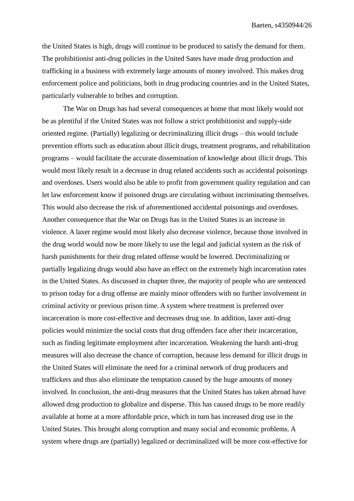the United States is high, drugs will continue to be produced to satisfy the demand for them. The prohibitionist anti-drug policies in the United Sates have made drug production and trafficking in a business with extremely large amounts of money involved. This makes drug enforcement police and politicians, both in drug producing countries and in the United States, particularly vulnerable to bribes and corruption.

The War on Drugs has had several consequences at home that most likely would not be as plentiful if the United States was not follow a strict prohibitionist and supply-side oriented regime. (Partially) legalizing or decriminalizing illicit drugs – this would include prevention efforts such as education about illicit drugs, treatment programs, and rehabilitation programs – would facilitate the accurate dissemination of knowledge about illicit drugs. This would most likely result in a decrease in drug related accidents such as accidental poisonings and overdoses. Users would also be able to profit from government quality regulation and can let law enforcement know if poisoned drugs are circulating without incriminating themselves. This would also decrease the risk of aforementioned accidental poisonings and overdoses. Another consequence that the War on Drugs has in the United States is an increase in violence. A laxer regime would most likely also decrease violence, because those involved in the drug world would now be more likely to use the legal and judicial system as the risk of harsh punishments for their drug related offense would be lowered. Decriminalizing or partially legalizing drugs would also have an effect on the extremely high incarceration rates in the United States. As discussed in chapter three, the majority of people who are sentenced to prison today for a drug offense are mainly minor offenders with no further involvement in criminal activity or previous prison time. A system where treatment is preferred over incarceration is more cost-effective and decreases drug use. In addition, laxer anti-drug policies would minimize the social costs that drug offenders face after their incarceration, such as finding legitimate employment after incarceration. Weakening the harsh anti-drug measures will also decrease the chance of corruption, because less demand for illicit drugs in the United States will eliminate the need for a criminal network of drug producers and traffickers and thus also eliminate the temptation caused by the huge amounts of money involved. In conclusion, the anti-drug measures that the United States has taken abroad have allowed drug production to globalize and disperse. This has caused drugs to be more readily available at home at a more affordable price, which in turn has increased drug use in the United States. This brought along corruption and many social and economic problems. A system where drugs are (partially) legalized or decriminalized will be more cost-effective for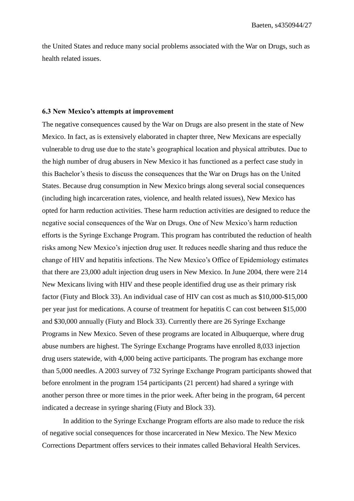the United States and reduce many social problems associated with the War on Drugs, such as health related issues.

#### **6.3 New Mexico's attempts at improvement**

The negative consequences caused by the War on Drugs are also present in the state of New Mexico. In fact, as is extensively elaborated in chapter three, New Mexicans are especially vulnerable to drug use due to the state's geographical location and physical attributes. Due to the high number of drug abusers in New Mexico it has functioned as a perfect case study in this Bachelor's thesis to discuss the consequences that the War on Drugs has on the United States. Because drug consumption in New Mexico brings along several social consequences (including high incarceration rates, violence, and health related issues), New Mexico has opted for harm reduction activities. These harm reduction activities are designed to reduce the negative social consequences of the War on Drugs. One of New Mexico's harm reduction efforts is the Syringe Exchange Program. This program has contributed the reduction of health risks among New Mexico's injection drug user. It reduces needle sharing and thus reduce the change of HIV and hepatitis infections. The New Mexico's Office of Epidemiology estimates that there are 23,000 adult injection drug users in New Mexico. In June 2004, there were 214 New Mexicans living with HIV and these people identified drug use as their primary risk factor (Fiuty and Block 33). An individual case of HIV can cost as much as \$10,000-\$15,000 per year just for medications. A course of treatment for hepatitis C can cost between \$15,000 and \$30,000 annually (Fiuty and Block 33). Currently there are 26 Syringe Exchange Programs in New Mexico. Seven of these programs are located in Albuquerque, where drug abuse numbers are highest. The Syringe Exchange Programs have enrolled 8,033 injection drug users statewide, with 4,000 being active participants. The program has exchange more than 5,000 needles. A 2003 survey of 732 Syringe Exchange Program participants showed that before enrolment in the program 154 participants (21 percent) had shared a syringe with another person three or more times in the prior week. After being in the program, 64 percent indicated a decrease in syringe sharing (Fiuty and Block 33).

In addition to the Syringe Exchange Program efforts are also made to reduce the risk of negative social consequences for those incarcerated in New Mexico. The New Mexico Corrections Department offers services to their inmates called Behavioral Health Services.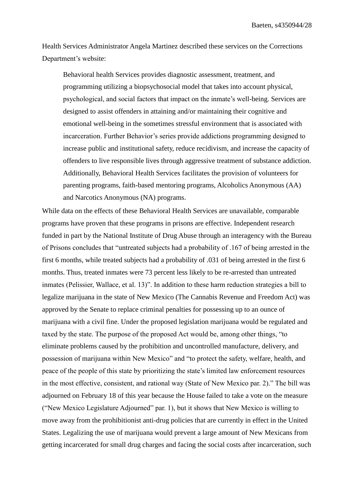Health Services Administrator Angela Martinez described these services on the Corrections Department's website:

Behavioral health Services provides diagnostic assessment, treatment, and programming utilizing a biopsychosocial model that takes into account physical, psychological, and social factors that impact on the inmate's well-being. Services are designed to assist offenders in attaining and/or maintaining their cognitive and emotional well-being in the sometimes stressful environment that is associated with incarceration. Further Behavior's series provide addictions programming designed to increase public and institutional safety, reduce recidivism, and increase the capacity of offenders to live responsible lives through aggressive treatment of substance addiction. Additionally, Behavioral Health Services facilitates the provision of volunteers for parenting programs, faith-based mentoring programs, Alcoholics Anonymous (AA) and Narcotics Anonymous (NA) programs.

While data on the effects of these Behavioral Health Services are unavailable, comparable programs have proven that these programs in prisons are effective. Independent research funded in part by the National Institute of Drug Abuse through an interagency with the Bureau of Prisons concludes that "untreated subjects had a probability of .167 of being arrested in the first 6 months, while treated subjects had a probability of .031 of being arrested in the first 6 months. Thus, treated inmates were 73 percent less likely to be re-arrested than untreated inmates (Pelissier, Wallace, et al. 13)". In addition to these harm reduction strategies a bill to legalize marijuana in the state of New Mexico (The Cannabis Revenue and Freedom Act) was approved by the Senate to replace criminal penalties for possessing up to an ounce of marijuana with a civil fine. Under the proposed legislation marijuana would be regulated and taxed by the state. The purpose of the proposed Act would be, among other things, "to eliminate problems caused by the prohibition and uncontrolled manufacture, delivery, and possession of marijuana within New Mexico" and "to protect the safety, welfare, health, and peace of the people of this state by prioritizing the state's limited law enforcement resources in the most effective, consistent, and rational way (State of New Mexico par. 2)." The bill was adjourned on February 18 of this year because the House failed to take a vote on the measure ("New Mexico Legislature Adjourned" par. 1), but it shows that New Mexico is willing to move away from the prohibitionist anti-drug policies that are currently in effect in the United States. Legalizing the use of marijuana would prevent a large amount of New Mexicans from getting incarcerated for small drug charges and facing the social costs after incarceration, such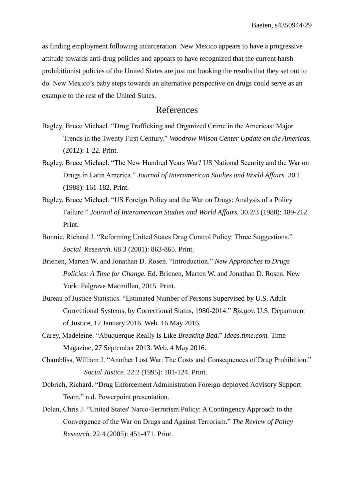as finding employment following incarceration. New Mexico appears to have a progressive attitude towards anti-drug policies and appears to have recognized that the current harsh prohibitionist policies of the United States are just not booking the results that they set out to do. New Mexico's baby steps towards an alternative perspective on drugs could serve as an example to the rest of the United States.

### References

- Bagley, Bruce Michael. "Drug Trafficking and Organized Crime in the Americas: Major Trends in the Twenty First Century." *Woodrow Wilson Center Update on the Americas.*  (2012): 1-22. Print.
- Bagley, Bruce Michael. "The New Hundred Years War? US National Security and the War on Drugs in Latin America." *Journal of Interamerican Studies and World Affairs.* 30.1 (1988): 161-182. Print.
- Bagley, Bruce Michael. "US Foreign Policy and the War on Drugs: Analysis of a Policy Failure." *Journal of Interamerican Studies and World Affairs.* 30.2/3 (1988): 189-212. Print.
- Bonnie, Richard J. "Reforming United States Drug Control Policy: Three Suggestions." *Social Research.* 68.3 (2001): 863-865. Print.
- Brienen, Marten W. and Jonathan D. Rosen. "Introduction." *New Approaches to Drugs Policies: A Time for Change.* Ed. Brienen, Marten W. and Jonathan D. Rosen. New York: Palgrave Macmillan, 2015. Print.
- Bureau of Justice Statistics. "Estimated Number of Persons Supervised by U.S. Adult Correctional Systems, by Correctional Status, 1980-2014." *Bjs.gov.* U.S. Department of Justice, 12 January 2016. Web. 16 May 2016.
- Carey, Madeleine. "Abuquerque Really Is Like *Breaking Bad*." *Ideas.time.com.* Time Magazine, 27 September 2013. Web. 4 May 2016.
- Chambliss, William J. "Another Lost War: The Costs and Consequences of Drug Prohibition." *Social Justice.* 22.2 (1995): 101-124. Print.
- Dobrich, Richard. "Drug Enforcement Administration Foreign-deployed Advisory Support Team." n.d. Powerpoint presentation.
- Dolan, Chris J. "United States' Narco-Terrorism Policy: A Contingency Approach to the Convergence of the War on Drugs and Against Terrorism." *The Review of Policy Research.* 22.4 (2005): 451-471. Print.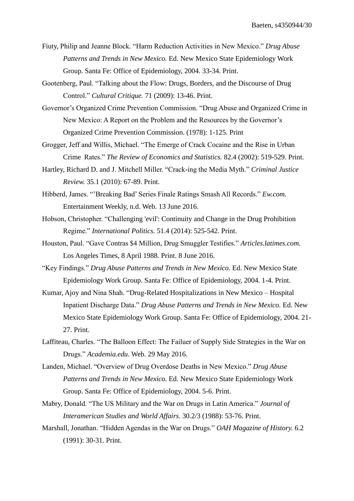- Fiuty, Philip and Jeanne Block. "Harm Reduction Activities in New Mexico." *Drug Abuse Patterns and Trends in New Mexico.* Ed. New Mexico State Epidemiology Work Group. Santa Fe: Office of Epidemiology, 2004. 33-34. Print.
- Gootenberg, Paul. "Talking about the Flow: Drugs, Borders, and the Discourse of Drug Control." *Cultural Critique.* 71 (2009): 13-46. Print.
- Governor's Organized Crime Prevention Commission. "Drug Abuse and Organized Crime in New Mexico: A Report on the Problem and the Resources by the Governor's Organized Crime Prevention Commission. (1978): 1-125. Print
- Grogger, Jeff and Willis, Michael. "The Emerge of Crack Cocaine and the Rise in Urban Crime Rates." *The Review of Economics and Statistics.* 82.4 (2002): 519-529. Print.
- Hartley, Richard D. and J. Mitchell Miller. "Crack-ing the Media Myth." *Criminal Justice Review.* 35.1 (2010): 67-89. Print.
- Hibberd, James. "'Breaking Bad' Series Finale Ratings Smash All Records." *Ew.com.*  Entertainment Weekly, n.d. Web. 13 June 2016.
- Hobson, Christopher. "Challenging 'evil': Continuity and Change in the Drug Prohibition Regime." *International Politics.* 51.4 (2014): 525-542. Print.
- Houston, Paul. "Gave Contras \$4 Million, Drug Smuggler Testifies." *Articles.latimes.com.*  Los Angeles Times, 8 April 1988. Print. 8 June 2016.
- "Key Findings." *Drug Abuse Patterns and Trends in New Mexico.* Ed. New Mexico State Epidemiology Work Group. Santa Fe: Office of Epidemiology, 2004. 1-4. Print.
- Kumar, Ajoy and Nina Shah. "Drug-Related Hospitalizations in New Mexico Hospital Inpatient Discharge Data." *Drug Abuse Patterns and Trends in New Mexico.* Ed. New Mexico State Epidemiology Work Group. Santa Fe: Office of Epidemiology, 2004. 21- 27. Print.
- Laffiteau, Charles. "The Balloon Effect: The Failuer of Supply Side Strategies in the War on Drugs." *Academia.edu*. Web. 29 May 2016.
- Landen, Michael. "Overview of Drug Overdose Deaths in New Mexico." *Drug Abuse Patterns and Trends in New Mexico.* Ed. New Mexico State Epidemiology Work Group. Santa Fe: Office of Epidemiology, 2004. 5-6. Print.
- Mabry, Donald. "The US Military and the War on Drugs in Latin America." *Journal of Interamerican Studies and World Affairs.* 30.2/3 (1988): 53-76. Print.
- Marshall, Jonathan. "Hidden Agendas in the War on Drugs." *OAH Magazine of History.* 6.2 (1991): 30-31. Print.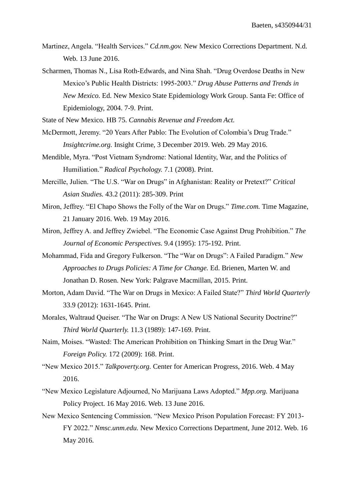- Martinez, Angela. "Health Services." *Cd.nm.gov.* New Mexico Corrections Department. N.d. Web. 13 June 2016.
- Scharmen, Thomas N., Lisa Roth-Edwards, and Nina Shah. "Drug Overdose Deaths in New Mexico's Public Health Districts: 1995-2003." *Drug Abuse Patterns and Trends in New Mexico.* Ed. New Mexico State Epidemiology Work Group. Santa Fe: Office of Epidemiology, 2004. 7-9. Print.

State of New Mexico. HB 75. *Cannabis Revenue and Freedom Act.* 

- McDermott, Jeremy. "20 Years After Pablo: The Evolution of Colombia's Drug Trade." *Insightcrime.org.* Insight Crime, 3 December 2019. Web. 29 May 2016.
- Mendible, Myra. "Post Vietnam Syndrome: National Identity, War, and the Politics of Humiliation." *Radical Psychology.* 7.1 (2008). Print.
- Mercille, Julien. "The U.S. "War on Drugs" in Afghanistan: Reality or Pretext?" *Critical Asian Studies.* 43.2 (2011): 285-309. Print
- Miron, Jeffrey. "El Chapo Shows the Folly of the War on Drugs." *Time.com.* Time Magazine, 21 January 2016. Web. 19 May 2016.
- Miron, Jeffrey A. and Jeffrey Zwiebel. "The Economic Case Against Drug Prohibition." *The Journal of Economic Perspectives.* 9.4 (1995): 175-192. Print.
- Mohammad, Fida and Gregory Fulkerson. "The "War on Drugs": A Failed Paradigm." *New Approaches to Drugs Policies: A Time for Change.* Ed. Brienen, Marten W. and Jonathan D. Rosen. New York: Palgrave Macmillan, 2015. Print.
- Morton, Adam David. "The War on Drugs in Mexico: A Failed State?" *Third World Quarterly*  33.9 (2012): 1631-1645. Print.
- Morales, Waltraud Queiser. "The War on Drugs: A New US National Security Doctrine?" *Third World Quarterly.* 11.3 (1989): 147-169. Print.
- Naim, Moises. "Wasted: The American Prohibition on Thinking Smart in the Drug War." *Foreign Policy.* 172 (2009): 168. Print.
- "New Mexico 2015." *Talkpoverty.org.* Center for American Progress, 2016. Web. 4 May 2016.
- "New Mexico Legislature Adjourned, No Marijuana Laws Adopted." *Mpp.org.* Marijuana Policy Project. 16 May 2016. Web. 13 June 2016.
- New Mexico Sentencing Commission. "New Mexico Prison Population Forecast: FY 2013- FY 2022." *Nmsc.unm.edu.* New Mexico Corrections Department, June 2012. Web. 16 May 2016.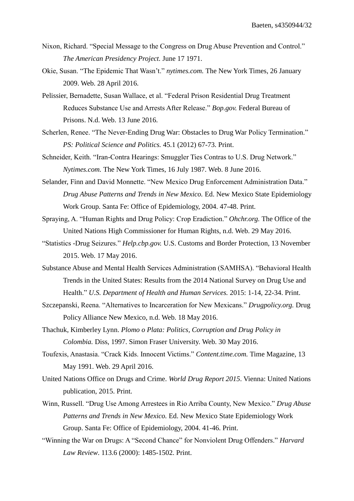- Nixon, Richard. "Special Message to the Congress on Drug Abuse Prevention and Control." *The American Presidency Project.* June 17 1971.
- Okie, Susan. "The Epidemic That Wasn't." *nytimes.com.* The New York Times, 26 January 2009. Web. 28 April 2016.
- Pelissier, Bernadette, Susan Wallace, et al. "Federal Prison Residential Drug Treatment Reduces Substance Use and Arrests After Release." *Bop.gov.* Federal Bureau of Prisons. N.d. Web. 13 June 2016.
- Scherlen, Renee. "The Never-Ending Drug War: Obstacles to Drug War Policy Termination." *PS: Political Science and Politics.* 45.1 (2012) 67-73. Print.
- Schneider, Keith. "Iran-Contra Hearings: Smuggler Ties Contras to U.S. Drug Network." *Nytimes.com.* The New York Times, 16 July 1987. Web. 8 June 2016.
- Selander, Finn and David Monnette. "New Mexico Drug Enforcement Administration Data." *Drug Abuse Patterns and Trends in New Mexico.* Ed. New Mexico State Epidemiology Work Group. Santa Fe: Office of Epidemiology, 2004. 47-48. Print.
- Spraying, A. "Human Rights and Drug Policy: Crop Eradiction." *Ohchr.org.* The Office of the United Nations High Commissioner for Human Rights, n.d. Web. 29 May 2016.
- "Statistics -Drug Seizures." *Help.cbp.gov.* U.S. Customs and Border Protection, 13 November 2015. Web. 17 May 2016.
- Substance Abuse and Mental Health Services Administration (SAMHSA). "Behavioral Health Trends in the United States: Results from the 2014 National Survey on Drug Use and Health." *U.S. Department of Health and Human Services.* 2015: 1-14, 22-34. Print.
- Szczepanski, Reena. "Alternatives to Incarceration for New Mexicans." *Drugpolicy.org.* Drug Policy Alliance New Mexico, n.d. Web. 18 May 2016.
- Thachuk, Kimberley Lynn. *Plomo o Plata: Politics, Corruption and Drug Policy in Colombia.* Diss, 1997. Simon Fraser University. Web. 30 May 2016.
- Toufexis, Anastasia. "Crack Kids. Innocent Victims." *Content.time.com.* Time Magazine, 13 May 1991. Web. 29 April 2016.
- United Nations Office on Drugs and Crime. *World Drug Report 2015*. Vienna: United Nations publication, 2015. Print.
- Winn, Russell. "Drug Use Among Arrestees in Rio Arriba County, New Mexico." *Drug Abuse Patterns and Trends in New Mexico.* Ed. New Mexico State Epidemiology Work Group. Santa Fe: Office of Epidemiology, 2004. 41-46. Print.
- "Winning the War on Drugs: A "Second Chance" for Nonviolent Drug Offenders." *Harvard Law Review*. 113.6 (2000): 1485-1502. Print.